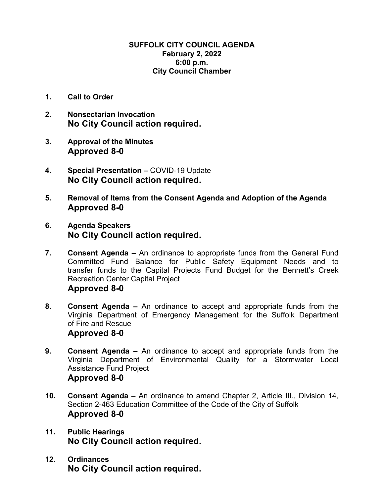## **SUFFOLK CITY COUNCIL AGENDA February 2, 2022 6:00 p.m. City Council Chamber**

- **1. Call to Order**
- **2. Nonsectarian Invocation No City Council action required.**
- **3. Approval of the Minutes Approved 8-0**
- **4. Special Presentation** COVID-19 Update **No City Council action required.**
- **5. Removal of Items from the Consent Agenda and Adoption of the Agenda Approved 8-0**
- **6. Agenda Speakers No City Council action required.**
- **7. Consent Agenda** An ordinance to appropriate funds from the General Fund Committed Fund Balance for Public Safety Equipment Needs and to transfer funds to the Capital Projects Fund Budget for the Bennett's Creek Recreation Center Capital Project **Approved 8-0**
- **8. Consent Agenda** An ordinance to accept and appropriate funds from the Virginia Department of Emergency Management for the Suffolk Department of Fire and Rescue **Approved 8-0**
- **9. Consent Agenda** An ordinance to accept and appropriate funds from the Virginia Department of Environmental Quality for a Stormwater Local Assistance Fund Project **Approved 8-0**
- **10. Consent Agenda** An ordinance to amend Chapter 2, Article III., Division 14, Section 2-463 Education Committee of the Code of the City of Suffolk **Approved 8-0**
- **11. Public Hearings No City Council action required.**
- **12. Ordinances No City Council action required.**